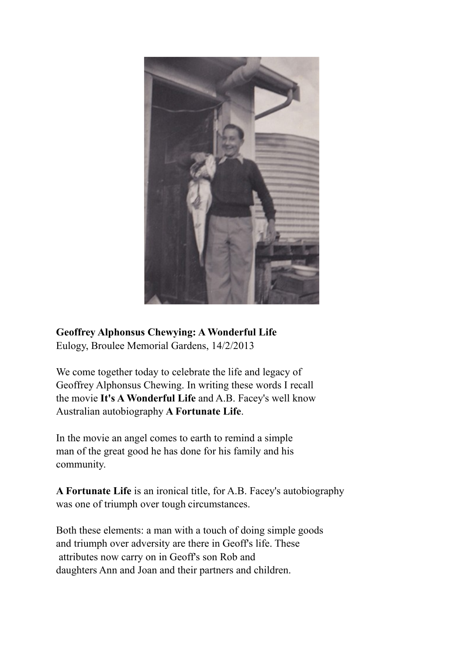

**Geoffrey Alphonsus Chewying: A Wonderful Life** Eulogy, Broulee Memorial Gardens, 14/2/2013

We come together today to celebrate the life and legacy of Geoffrey Alphonsus Chewing. In writing these words I recall the movie **It's A Wonderful Life** and A.B. Facey's well know Australian autobiography **A Fortunate Life**.

In the movie an angel comes to earth to remind a simple man of the great good he has done for his family and his community.

**A Fortunate Life** is an ironical title, for A.B. Facey's autobiography was one of triumph over tough circumstances.

Both these elements: a man with a touch of doing simple goods and triumph over adversity are there in Geoff's life. These attributes now carry on in Geoff's son Rob and daughters Ann and Joan and their partners and children.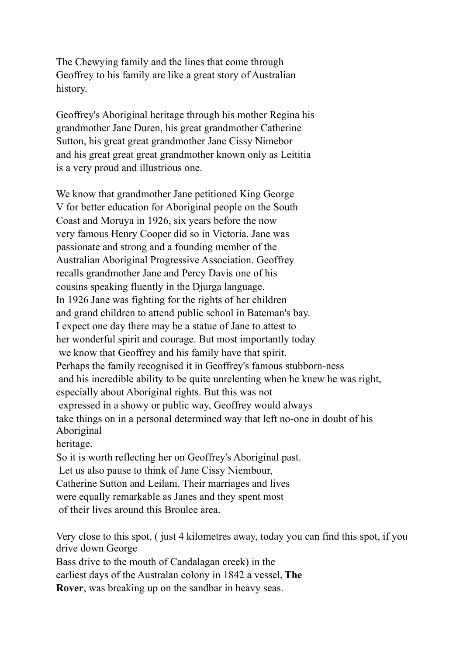The Chewying family and the lines that come through Geoffrey to his family are like a great story of Australian history.

Geoffrey's Aboriginal heritage through his mother Regina his grandmother Jane Duren, his great grandmother Catherine Sutton, his great great grandmother Jane Cissy Nimebor and his great great great grandmother known only as Leititia is a very proud and illustrious one.

We know that grandmother Jane petitioned King George V for better education for Aboriginal people on the South Coast and Moruya in 1926, six years before the now very famous Henry Cooper did so in Victoria. Jane was passionate and strong and a founding member of the Australian Aboriginal Progressive Association. Geoffrey recalls grandmother Jane and Percy Davis one of his cousins speaking fluently in the Djurga language. In 1926 Jane was fighting for the rights of her children and grand children to attend public school in Bateman's bay. I expect one day there may be a statue of Jane to attest to her wonderful spirit and courage. But most importantly today we know that Geoffrey and his family have that spirit. Perhaps the family recognised it in Geoffrey's famous stubborn-ness and his incredible ability to be quite unrelenting when he knew he was right, especially about Aboriginal rights. But this was not expressed in a showy or public way, Geoffrey would always take things on in a personal determined way that left no-one in doubt of his Aboriginal heritage.

So it is worth reflecting her on Geoffrey's Aboriginal past. Let us also pause to think of Jane Cissy Niembour, Catherine Sutton and Leilani. Their marriages and lives were equally remarkable as Janes and they spent most of their lives around this Broulee area.

Very close to this spot, ( just 4 kilometres away, today you can find this spot, if you drive down George

Bass drive to the mouth of Candalagan creek) in the

earliest days of the Australan colony in 1842 a vessel, **The**

**Rover**, was breaking up on the sandbar in heavy seas.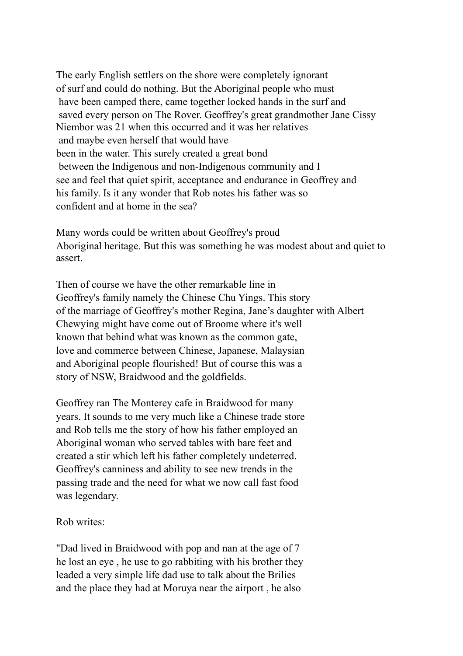The early English settlers on the shore were completely ignorant of surf and could do nothing. But the Aboriginal people who must have been camped there, came together locked hands in the surf and saved every person on The Rover. Geoffrey's great grandmother Jane Cissy Niembor was 21 when this occurred and it was her relatives and maybe even herself that would have been in the water. This surely created a great bond between the Indigenous and non-Indigenous community and I see and feel that quiet spirit, acceptance and endurance in Geoffrey and his family. Is it any wonder that Rob notes his father was so confident and at home in the sea?

Many words could be written about Geoffrey's proud Aboriginal heritage. But this was something he was modest about and quiet to assert.

Then of course we have the other remarkable line in Geoffrey's family namely the Chinese Chu Yings. This story of the marriage of Geoffrey's mother Regina, Jane's daughter with Albert Chewying might have come out of Broome where it's well known that behind what was known as the common gate, love and commerce between Chinese, Japanese, Malaysian and Aboriginal people flourished! But of course this was a story of NSW, Braidwood and the goldfields.

Geoffrey ran The Monterey cafe in Braidwood for many years. It sounds to me very much like a Chinese trade store and Rob tells me the story of how his father employed an Aboriginal woman who served tables with bare feet and created a stir which left his father completely undeterred. Geoffrey's canniness and ability to see new trends in the passing trade and the need for what we now call fast food was legendary.

Rob writes:

"Dad lived in Braidwood with pop and nan at the age of 7 he lost an eye , he use to go rabbiting with his brother they leaded a very simple life dad use to talk about the Brilies and the place they had at Moruya near the airport , he also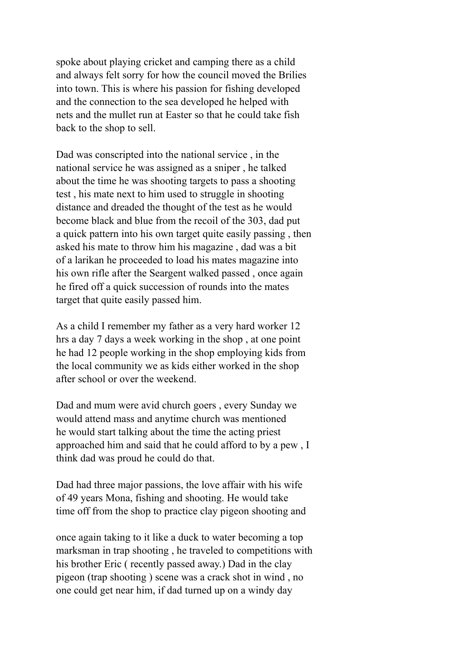spoke about playing cricket and camping there as a child and always felt sorry for how the council moved the Brilies into town. This is where his passion for fishing developed and the connection to the sea developed he helped with nets and the mullet run at Easter so that he could take fish back to the shop to sell.

Dad was conscripted into the national service , in the national service he was assigned as a sniper , he talked about the time he was shooting targets to pass a shooting test , his mate next to him used to struggle in shooting distance and dreaded the thought of the test as he would become black and blue from the recoil of the 303, dad put a quick pattern into his own target quite easily passing , then asked his mate to throw him his magazine , dad was a bit of a larikan he proceeded to load his mates magazine into his own rifle after the Seargent walked passed , once again he fired off a quick succession of rounds into the mates target that quite easily passed him.

As a child I remember my father as a very hard worker 12 hrs a day 7 days a week working in the shop , at one point he had 12 people working in the shop employing kids from the local community we as kids either worked in the shop after school or over the weekend.

Dad and mum were avid church goers , every Sunday we would attend mass and anytime church was mentioned he would start talking about the time the acting priest approached him and said that he could afford to by a pew , I think dad was proud he could do that.

Dad had three major passions, the love affair with his wife of 49 years Mona, fishing and shooting. He would take time off from the shop to practice clay pigeon shooting and

once again taking to it like a duck to water becoming a top marksman in trap shooting , he traveled to competitions with his brother Eric ( recently passed away.) Dad in the clay pigeon (trap shooting ) scene was a crack shot in wind , no one could get near him, if dad turned up on a windy day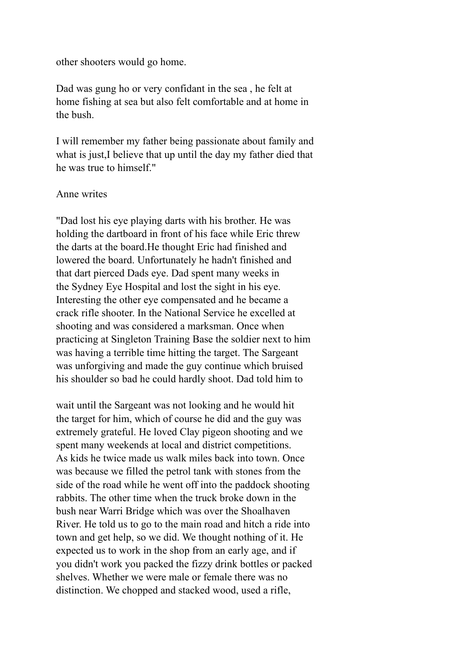other shooters would go home.

Dad was gung ho or very confidant in the sea , he felt at home fishing at sea but also felt comfortable and at home in the bush.

I will remember my father being passionate about family and what is just,I believe that up until the day my father died that he was true to himself."

## Anne writes

"Dad lost his eye playing darts with his brother. He was holding the dartboard in front of his face while Eric threw the darts at the board.He thought Eric had finished and lowered the board. Unfortunately he hadn't finished and that dart pierced Dads eye. Dad spent many weeks in the Sydney Eye Hospital and lost the sight in his eye. Interesting the other eye compensated and he became a crack rifle shooter. In the National Service he excelled at shooting and was considered a marksman. Once when practicing at Singleton Training Base the soldier next to him was having a terrible time hitting the target. The Sargeant was unforgiving and made the guy continue which bruised his shoulder so bad he could hardly shoot. Dad told him to

wait until the Sargeant was not looking and he would hit the target for him, which of course he did and the guy was extremely grateful. He loved Clay pigeon shooting and we spent many weekends at local and district competitions. As kids he twice made us walk miles back into town. Once was because we filled the petrol tank with stones from the side of the road while he went off into the paddock shooting rabbits. The other time when the truck broke down in the bush near Warri Bridge which was over the Shoalhaven River. He told us to go to the main road and hitch a ride into town and get help, so we did. We thought nothing of it. He expected us to work in the shop from an early age, and if you didn't work you packed the fizzy drink bottles or packed shelves. Whether we were male or female there was no distinction. We chopped and stacked wood, used a rifle,